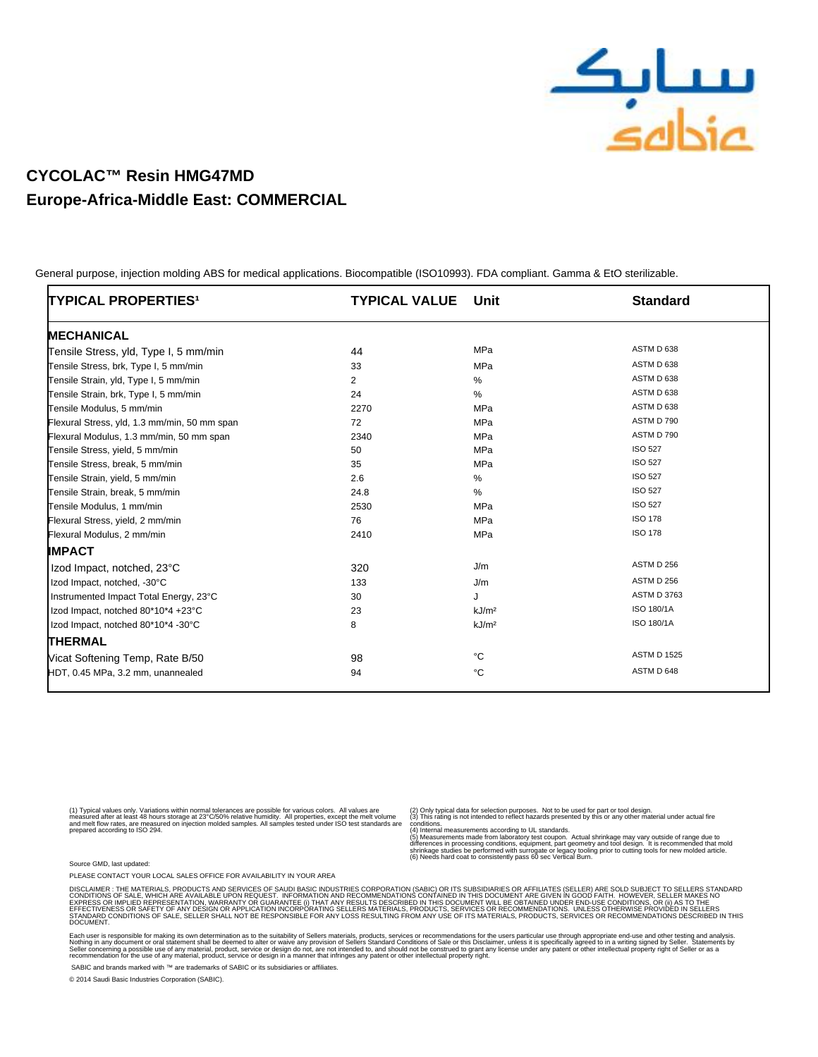

## **CYCOLAC™ Resin HMG47MD Europe-Africa-Middle East: COMMERCIAL**

 General purpose, injection molding ABS for medical applications. Biocompatible (ISO10993). FDA compliant. Gamma & EtO sterilizable.

| TYPICAL PROPERTIES <sup>1</sup>              | <b>TYPICAL VALUE</b> | Unit              | <b>Standard</b>    |
|----------------------------------------------|----------------------|-------------------|--------------------|
| <b>MECHANICAL</b>                            |                      |                   |                    |
| Tensile Stress, yld, Type I, 5 mm/min        | 44                   | MPa               | ASTM D 638         |
| Tensile Stress, brk, Type I, 5 mm/min        | 33                   | MPa               | ASTM D 638         |
| Tensile Strain, yld, Type I, 5 mm/min        | $\overline{2}$       | $\%$              | ASTM D 638         |
| Tensile Strain, brk, Type I, 5 mm/min        | 24                   | %                 | ASTM D 638         |
| Tensile Modulus, 5 mm/min                    | 2270                 | MPa               | ASTM D 638         |
| Flexural Stress, yld, 1.3 mm/min, 50 mm span | 72                   | <b>MPa</b>        | ASTM D 790         |
| Flexural Modulus, 1.3 mm/min, 50 mm span     | 2340                 | <b>MPa</b>        | ASTM D 790         |
| Tensile Stress, yield, 5 mm/min              | 50                   | MPa               | <b>ISO 527</b>     |
| Tensile Stress, break, 5 mm/min              | 35                   | <b>MPa</b>        | <b>ISO 527</b>     |
| Tensile Strain, yield, 5 mm/min              | 2.6                  | $\%$              | <b>ISO 527</b>     |
| Tensile Strain, break, 5 mm/min              | 24.8                 | %                 | <b>ISO 527</b>     |
| Tensile Modulus, 1 mm/min                    | 2530                 | MPa               | <b>ISO 527</b>     |
| Flexural Stress, yield, 2 mm/min             | 76                   | MPa               | <b>ISO 178</b>     |
| Flexural Modulus, 2 mm/min                   | 2410                 | MPa               | <b>ISO 178</b>     |
| <b>IMPACT</b>                                |                      |                   |                    |
| Izod Impact, notched, 23°C                   | 320                  | J/m               | ASTM D 256         |
| Izod Impact, notched, -30°C                  | 133                  | J/m               | ASTM D 256         |
| Instrumented Impact Total Energy, 23°C       | 30                   | J                 | <b>ASTM D 3763</b> |
| Izod Impact, notched 80*10*4 +23°C           | 23                   | kJ/m <sup>2</sup> | ISO 180/1A         |
| Izod Impact, notched 80*10*4 -30°C           | 8                    | kJ/m <sup>2</sup> | ISO 180/1A         |
| <b>THERMAL</b>                               |                      |                   |                    |
| Vicat Softening Temp, Rate B/50              | 98                   | °C                | <b>ASTM D 1525</b> |
| HDT, 0.45 MPa, 3.2 mm, unannealed            | 94                   | °C                | ASTM D 648         |

(1) Typical values only. Variations within normal tolerances are possible for various colors. All values are<br>measured after at least 48 hours storage at 23°C/50% relative humidity. All properties, except the melt volume<br>an

(2) Only typical data for selection purposes. Not to be used for part or tool design. (3) This rating is not intended to reflect hazards presented by this or any other material under actual fire

conditions.<br>(4) Internal measurements according to UL standards.<br>(5) Measurements made from laboratory test coupon. Actual shrinkage may vary outside of range due to<br>stifferences in processing conditions, equipment, part g

Source GMD, last updated:

PLEASE CONTACT YOUR LOCAL SALES OFFICE FOR AVAILABILITY IN YOUR AREA

DISCLAMER : THE MATERIALS, PRODUCTS AND SERVICES OF SAUDI BASIC MDUSTRIES CORPORATION (SABIC) OR ITS SUBSIDIARDES OR<br>CONDITIONS OF SALE, WHICH ARE AVAILABLE UPON REQUEST. INFORMATION AND RECOMMENDATIONS CONTAINED IN THIS D **DOCUMENT** 

Each user is responsible for making its own determination as to the suitablity of Seller s materials, products, services or recommendations for the user s particular use through appropriate end-use and other to suppropriat

SABIC and brands marked with ™ are trademarks of SABIC or its subsidiaries or affiliates.

© 2014 Saudi Basic Industries Corporation (SABIC).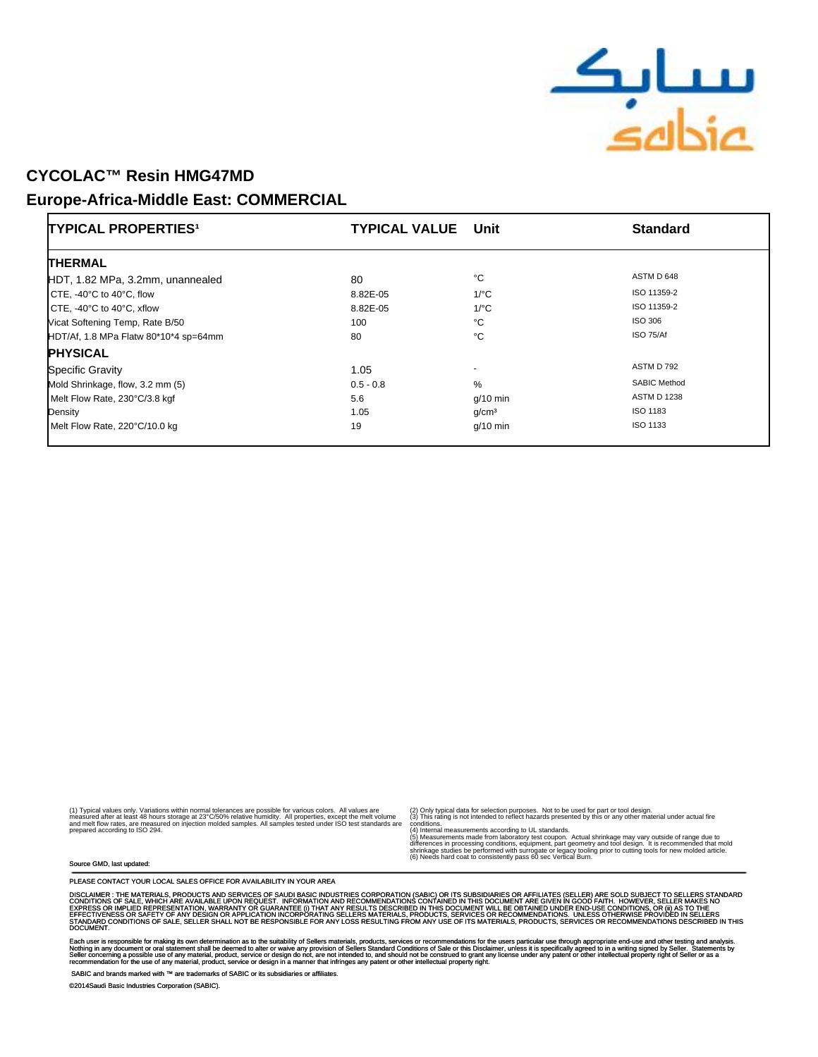

### CYCOLAC™ Resin **HMG47MD**

#### **Europe-Africa-Middle East: COMMERCIAL**

| TYPICAL PROPERTIES <sup>1</sup>               | <b>TYPICAL VALUE Unit</b> |                      | <b>Standard</b>     |
|-----------------------------------------------|---------------------------|----------------------|---------------------|
| <b>THERMAL</b>                                |                           |                      |                     |
| HDT, 1.82 MPa, 3.2mm, unannealed              | 80                        | °С                   | ASTM D 648          |
| CTE, -40 $\degree$ C to 40 $\degree$ C, flow  | 8.82E-05                  | $1$ <sup>o</sup> $C$ | ISO 11359-2         |
| CTE, -40 $\degree$ C to 40 $\degree$ C, xflow | 8.82E-05                  | $1$ /°C              | ISO 11359-2         |
| Vicat Softening Temp, Rate B/50               | 100                       | °С                   | ISO 306             |
| HDT/Af, 1.8 MPa Flatw 80*10*4 sp=64mm         | 80                        | °C                   | ISO 75/Af           |
| <b>PHYSICAL</b>                               |                           |                      |                     |
| <b>Specific Gravity</b>                       | 1.05                      | $\overline{a}$       | ASTM D 792          |
| Mold Shrinkage, flow, 3.2 mm (5)              | $0.5 - 0.8$               | %                    | <b>SABIC Method</b> |
| Melt Flow Rate, 230°C/3.8 kgf                 | 5.6                       | $g/10$ min           | <b>ASTM D 1238</b>  |
| Density                                       | 1.05                      | q/cm <sup>3</sup>    | ISO 1183            |
| Melt Flow Rate, 220°C/10.0 kg                 | 19                        | $q/10$ min           | ISO 1133            |

(1) Typical values only. Variations within normal tolerances are possible for various colors. All values are<br>measured after at least 48 hours storage at 23°C/50% relative humidity. All properties, except the melt volume<br>an

(2) Only typical data for selection purposes. Not to be used for part or tool design. (3) This rating is not intended to reflect hazards presented by this or any other material under actual fire

conditions.<br>(4) Internal measurements according to UL standards.<br>(5) Measurements made from laboratory test coupon. Actual shrinkage may vary outside of range due to<br>stifferences in processing conditions, equipment, part g

Source GMD, last updated:

PLEASE CONTACT YOUR LOCAL SALES OFFICE FOR AVAILABILITY IN YOUR AREA

DISCLAMER : THE MATERIALS, PRODUCTS AND SERVICES OF SAUDI BASIC MDUSTRIES CORPORATION (SABIC) OR ITS SUASIDIARD<br>CONDITIONS OF SALE, WHICH ARE AVAILABLE UPON REQUEST. INFORMATION AND RECOMMENDATIONS CONTAINED IN ITS INSURSE DOCUMENT.

Each user is responsible for making its own determination as to the suitablity of Seller s materials, products, services or recommendations for the user s particular use through appropriate end-use.<br>Nothing in any document

SABIC and brands marked with ™ are trademarks of SABIC or its subsidiaries or affiliates.

©2014Saudi Basic Industries Corporation (SABIC).